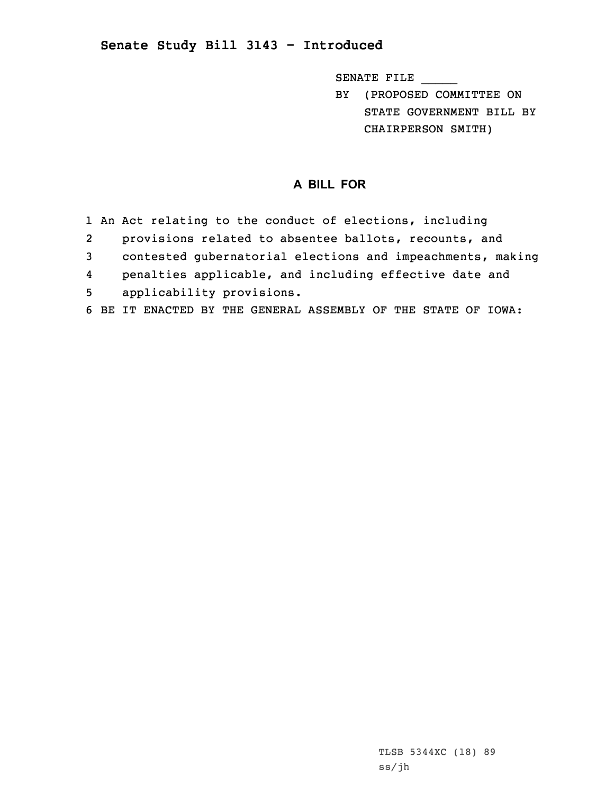## **Senate Study Bill 3143 - Introduced**

SENATE FILE \_\_\_\_\_

BY (PROPOSED COMMITTEE ON STATE GOVERNMENT BILL BY CHAIRPERSON SMITH)

## **A BILL FOR**

- 1 An Act relating to the conduct of elections, including
- 2provisions related to absentee ballots, recounts, and
- 3 contested gubernatorial elections and impeachments, making
- 4penalties applicable, and including effective date and
- 5 applicability provisions.
- 6 BE IT ENACTED BY THE GENERAL ASSEMBLY OF THE STATE OF IOWA: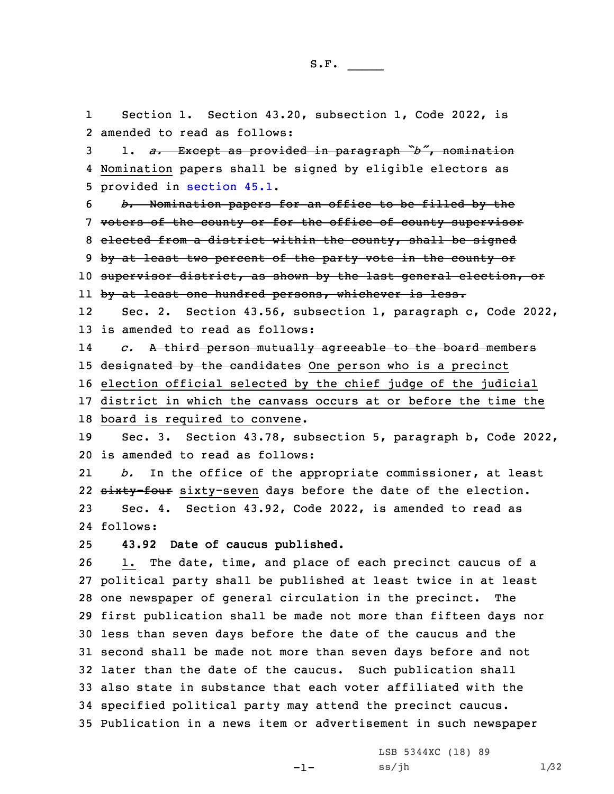1

 Section 1. Section 43.20, subsection 1, Code 2022, is amended to read as follows: 1. *a.* Except as provided in paragraph *"b"*, nomination Nomination papers shall be signed by eligible electors as provided in [section](https://www.legis.iowa.gov/docs/code/2022/45.1.pdf) 45.1. *b.* Nomination papers for an office to be filled by the voters of the county or for the office of county supervisor elected from <sup>a</sup> district within the county, shall be signed 9 by at least two percent of the party vote in the county or 10 supervisor district, as shown by the last general election, or ll <del>by at least one hundred persons, whichever is less.</del> 12 Sec. 2. Section 43.56, subsection 1, paragraph c, Code 2022, is amended to read as follows: 14 *c.* <sup>A</sup> third person mutually agreeable to the board members 15 designated by the candidates One person who is a precinct election official selected by the chief judge of the judicial district in which the canvass occurs at or before the time the board is required to convene. Sec. 3. Section 43.78, subsection 5, paragraph b, Code 2022, is amended to read as follows: 21 *b.* In the office of the appropriate commissioner, at least 22 <del>sixty-four</del> sixty-seven days before the date of the election. Sec. 4. Section 43.92, Code 2022, is amended to read as 24 follows: **43.92 Date of caucus published.** 1. The date, time, and place of each precinct caucus of <sup>a</sup> political party shall be published at least twice in at least one newspaper of general circulation in the precinct. The first publication shall be made not more than fifteen days nor less than seven days before the date of the caucus and the second shall be made not more than seven days before and not later than the date of the caucus. Such publication shall also state in substance that each voter affiliated with the

34 specified political party may attend the precinct caucus. 35 Publication in <sup>a</sup> news item or advertisement in such newspaper

 $-1-$ 

LSB 5344XC (18) 89  $ss/jh$  1/32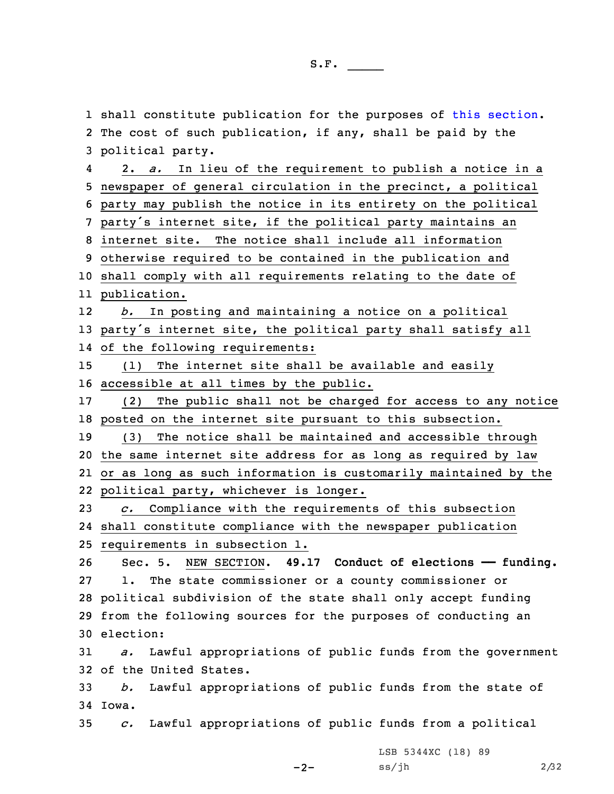shall constitute publication for the purposes of this [section](https://www.legis.iowa.gov/docs/code/2022/43.92.pdf). The cost of such publication, if any, shall be paid by the political party. 4 2. *a.* In lieu of the requirement to publish <sup>a</sup> notice in <sup>a</sup> newspaper of general circulation in the precinct, <sup>a</sup> political party may publish the notice in its entirety on the political party's internet site, if the political party maintains an internet site. The notice shall include all information otherwise required to be contained in the publication and shall comply with all requirements relating to the date of publication. 12 *b.* In posting and maintaining <sup>a</sup> notice on <sup>a</sup> political party's internet site, the political party shall satisfy all of the following requirements: (1) The internet site shall be available and easily accessible at all times by the public. (2) The public shall not be charged for access to any notice posted on the internet site pursuant to this subsection. (3) The notice shall be maintained and accessible through the same internet site address for as long as required by law or as long as such information is customarily maintained by the political party, whichever is longer. *c.* Compliance with the requirements of this subsection shall constitute compliance with the newspaper publication requirements in subsection 1. Sec. 5. NEW SECTION. **49.17 Conduct of elections —— funding.** 1. The state commissioner or <sup>a</sup> county commissioner or political subdivision of the state shall only accept funding from the following sources for the purposes of conducting an election: *a.* Lawful appropriations of public funds from the government of the United States. *b.* Lawful appropriations of public funds from the state of 34 Iowa. *c.* Lawful appropriations of public funds from <sup>a</sup> political

 $-2-$ 

LSB 5344XC (18) 89  $ss/jh$  2/32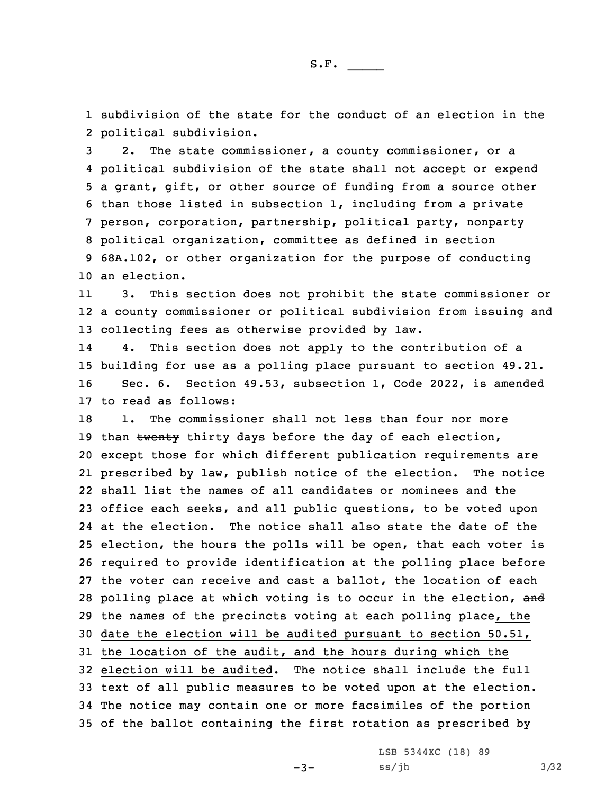1 subdivision of the state for the conduct of an election in the 2 political subdivision.

 2. The state commissioner, <sup>a</sup> county commissioner, or <sup>a</sup> political subdivision of the state shall not accept or expend <sup>a</sup> grant, gift, or other source of funding from <sup>a</sup> source other than those listed in subsection 1, including from <sup>a</sup> private person, corporation, partnership, political party, nonparty political organization, committee as defined in section 68A.102, or other organization for the purpose of conducting an election.

11 3. This section does not prohibit the state commissioner or 12 <sup>a</sup> county commissioner or political subdivision from issuing and 13 collecting fees as otherwise provided by law.

14 4. This section does not apply to the contribution of <sup>a</sup> 15 building for use as <sup>a</sup> polling place pursuant to section 49.21. 16 Sec. 6. Section 49.53, subsection 1, Code 2022, is amended 17 to read as follows:

18 1. The commissioner shall not less than four nor more 19 than twenty thirty days before the day of each election, except those for which different publication requirements are prescribed by law, publish notice of the election. The notice shall list the names of all candidates or nominees and the office each seeks, and all public questions, to be voted upon at the election. The notice shall also state the date of the election, the hours the polls will be open, that each voter is required to provide identification at the polling place before the voter can receive and cast <sup>a</sup> ballot, the location of each 28 polling place at which voting is to occur in the election, and the names of the precincts voting at each polling place, the date the election will be audited pursuant to section 50.51, the location of the audit, and the hours during which the election will be audited. The notice shall include the full text of all public measures to be voted upon at the election. The notice may contain one or more facsimiles of the portion of the ballot containing the first rotation as prescribed by

-3-

LSB 5344XC (18) 89  $ss/jh$   $3/32$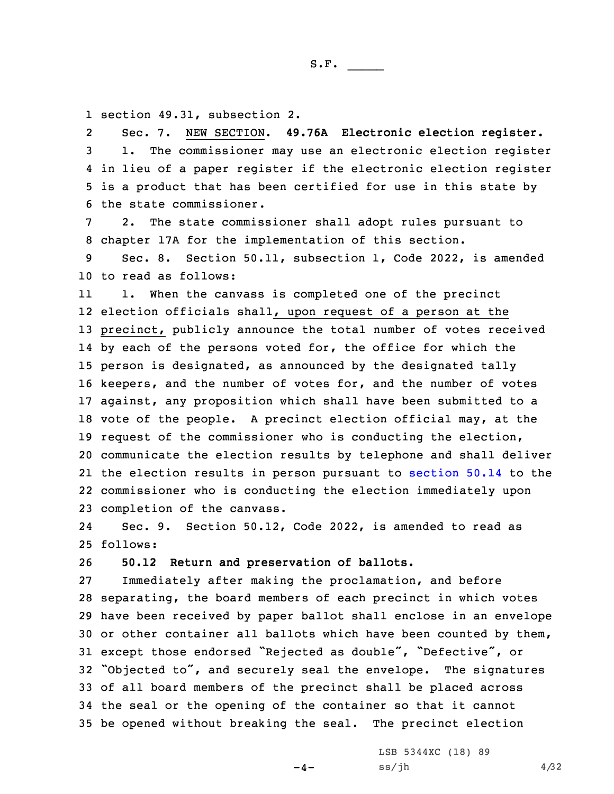S.F.  $\rule{1em}{0.15mm}$ 

1 section 49.31, subsection 2.

2 Sec. 7. NEW SECTION. **49.76A Electronic election register.** 1. The commissioner may use an electronic election register in lieu of <sup>a</sup> paper register if the electronic election register is <sup>a</sup> product that has been certified for use in this state by the state commissioner.

7 2. The state commissioner shall adopt rules pursuant to 8 chapter 17A for the implementation of this section.

9 Sec. 8. Section 50.11, subsection 1, Code 2022, is amended 10 to read as follows:

11 1. When the canvass is completed one of the precinct election officials shall, upon request of <sup>a</sup> person at the precinct, publicly announce the total number of votes received 14 by each of the persons voted for, the office for which the person is designated, as announced by the designated tally keepers, and the number of votes for, and the number of votes against, any proposition which shall have been submitted to <sup>a</sup> vote of the people. <sup>A</sup> precinct election official may, at the request of the commissioner who is conducting the election, communicate the election results by telephone and shall deliver the election results in person pursuant to [section](https://www.legis.iowa.gov/docs/code/2022/50.14.pdf) 50.14 to the commissioner who is conducting the election immediately upon completion of the canvass.

24 Sec. 9. Section 50.12, Code 2022, is amended to read as 25 follows:

26 **50.12 Return and preservation of ballots.**

 Immediately after making the proclamation, and before separating, the board members of each precinct in which votes have been received by paper ballot shall enclose in an envelope or other container all ballots which have been counted by them, except those endorsed "Rejected as double", "Defective", or "Objected to", and securely seal the envelope. The signatures of all board members of the precinct shall be placed across the seal or the opening of the container so that it cannot be opened without breaking the seal. The precinct election

 $-4-$ 

LSB 5344XC (18) 89  $ss/jh$  4/32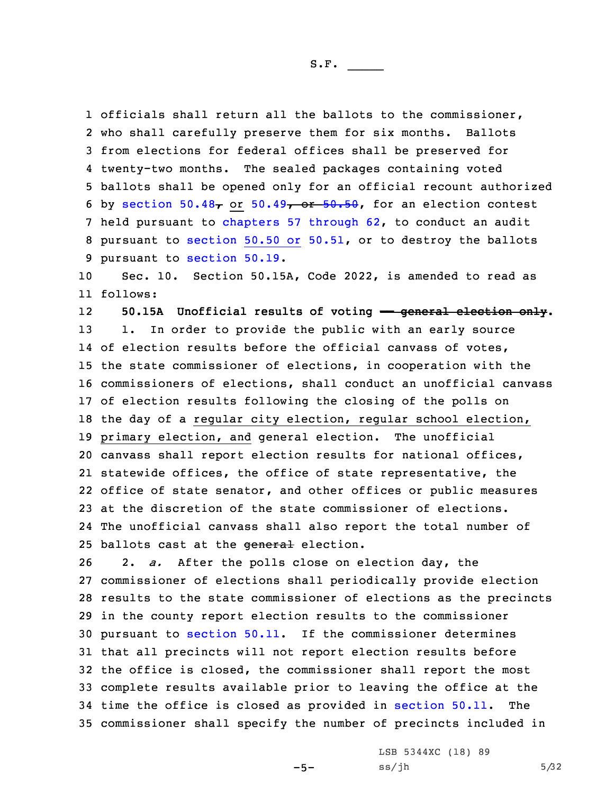officials shall return all the ballots to the commissioner, who shall carefully preserve them for six months. Ballots from elections for federal offices shall be preserved for twenty-two months. The sealed packages containing voted ballots shall be opened only for an official recount authorized 6 by [section](https://www.legis.iowa.gov/docs/code/2022/50.48.pdf) 50.48, or [50.49](https://www.legis.iowa.gov/docs/code/2022/50.49.pdf), or [50.50](https://www.legis.iowa.gov/docs/code/2022/50.50.pdf), for an election contest held pursuant to [chapters](https://www.legis.iowa.gov/docs/code/2022/57.pdf) 57 through 62, to conduct an audit pursuant to [section](https://www.legis.iowa.gov/docs/code/2022/50.51.pdf) 50.50 or 50.51, or to destroy the ballots pursuant to [section](https://www.legis.iowa.gov/docs/code/2022/50.19.pdf) 50.19.

10 Sec. 10. Section 50.15A, Code 2022, is amended to read as 11 follows:

12 **50.15A Unofficial results of voting —— general election only.** 13 1. In order to provide the public with an early source of election results before the official canvass of votes, the state commissioner of elections, in cooperation with the commissioners of elections, shall conduct an unofficial canvass of election results following the closing of the polls on the day of <sup>a</sup> regular city election, regular school election, primary election, and general election. The unofficial canvass shall report election results for national offices, statewide offices, the office of state representative, the office of state senator, and other offices or public measures at the discretion of the state commissioner of elections. The unofficial canvass shall also report the total number of 25 ballots cast at the general election.

 2. *a.* After the polls close on election day, the commissioner of elections shall periodically provide election results to the state commissioner of elections as the precincts in the county report election results to the commissioner pursuant to [section](https://www.legis.iowa.gov/docs/code/2022/50.11.pdf) 50.11. If the commissioner determines that all precincts will not report election results before the office is closed, the commissioner shall report the most complete results available prior to leaving the office at the time the office is closed as provided in [section](https://www.legis.iowa.gov/docs/code/2022/50.11.pdf) 50.11. The commissioner shall specify the number of precincts included in

 $-5-$ 

LSB 5344XC (18) 89  $ss/jh$  5/32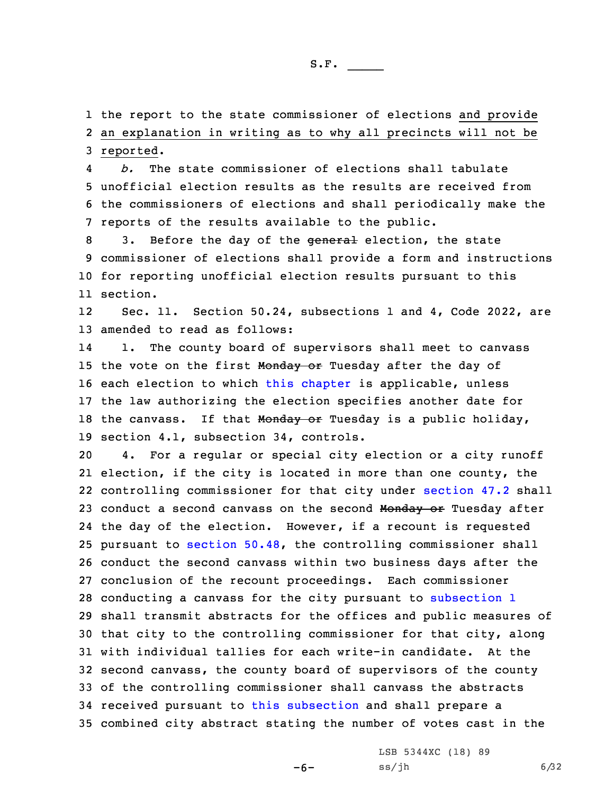1 the report to the state commissioner of elections and provide 2 an explanation in writing as to why all precincts will not be 3 reported.

4 *b.* The state commissioner of elections shall tabulate 5 unofficial election results as the results are received from 6 the commissioners of elections and shall periodically make the 7 reports of the results available to the public.

8 3. Before the day of the general election, the state 9 commissioner of elections shall provide <sup>a</sup> form and instructions 10 for reporting unofficial election results pursuant to this 11 section.

12 Sec. 11. Section 50.24, subsections 1 and 4, Code 2022, are 13 amended to read as follows:

14 1. The county board of supervisors shall meet to canvass 15 the vote on the first Monday or Tuesday after the day of 16 each election to which this [chapter](https://www.legis.iowa.gov/docs/code/2022/50.pdf) is applicable, unless 17 the law authorizing the election specifies another date for 18 the canvass. If that Monday or Tuesday is a public holiday, 19 section 4.1, subsection 34, controls.

 4. For <sup>a</sup> regular or special city election or <sup>a</sup> city runoff election, if the city is located in more than one county, the controlling commissioner for that city under [section](https://www.legis.iowa.gov/docs/code/2022/47.2.pdf) 47.2 shall 23 conduct a second canvass on the second Monday or Tuesday after the day of the election. However, if <sup>a</sup> recount is requested pursuant to [section](https://www.legis.iowa.gov/docs/code/2022/50.48.pdf) 50.48, the controlling commissioner shall conduct the second canvass within two business days after the conclusion of the recount proceedings. Each commissioner conducting <sup>a</sup> canvass for the city pursuant to [subsection](https://www.legis.iowa.gov/docs/code/2022/50.24.pdf) 1 shall transmit abstracts for the offices and public measures of that city to the controlling commissioner for that city, along with individual tallies for each write-in candidate. At the second canvass, the county board of supervisors of the county of the controlling commissioner shall canvass the abstracts received pursuant to this [subsection](https://www.legis.iowa.gov/docs/code/2022/50.24.pdf) and shall prepare <sup>a</sup> combined city abstract stating the number of votes cast in the

-6-

LSB 5344XC (18) 89  $ss/jh$  6/32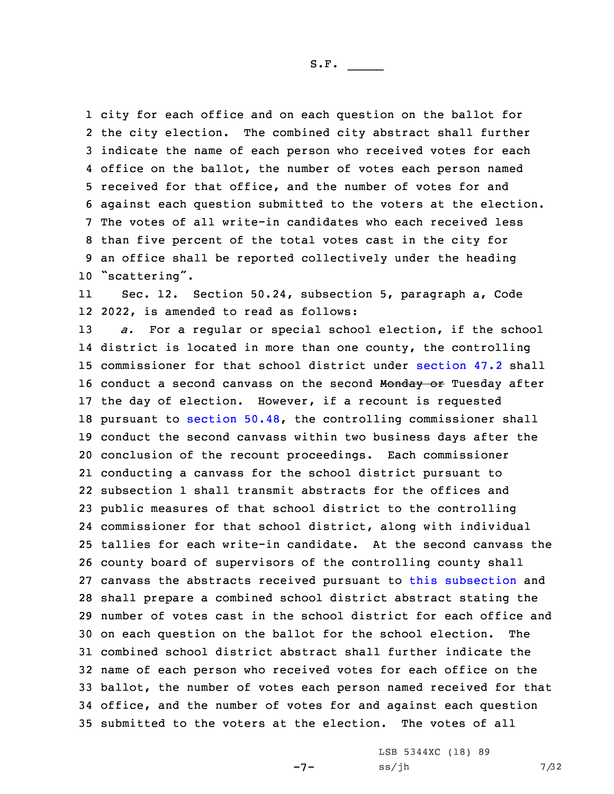city for each office and on each question on the ballot for the city election. The combined city abstract shall further indicate the name of each person who received votes for each office on the ballot, the number of votes each person named received for that office, and the number of votes for and against each question submitted to the voters at the election. The votes of all write-in candidates who each received less than five percent of the total votes cast in the city for an office shall be reported collectively under the heading "scattering".

11 Sec. 12. Section 50.24, subsection 5, paragraph a, Code 12 2022, is amended to read as follows:

 *a.* For <sup>a</sup> regular or special school election, if the school district is located in more than one county, the controlling commissioner for that school district under [section](https://www.legis.iowa.gov/docs/code/2022/47.2.pdf) 47.2 shall 16 conduct a second canvass on the second Monday or Tuesday after the day of election. However, if <sup>a</sup> recount is requested pursuant to [section](https://www.legis.iowa.gov/docs/code/2022/50.48.pdf) 50.48, the controlling commissioner shall conduct the second canvass within two business days after the conclusion of the recount proceedings. Each commissioner conducting <sup>a</sup> canvass for the school district pursuant to subsection 1 shall transmit abstracts for the offices and public measures of that school district to the controlling commissioner for that school district, along with individual tallies for each write-in candidate. At the second canvass the county board of supervisors of the controlling county shall canvass the abstracts received pursuant to this [subsection](https://www.legis.iowa.gov/docs/code/2022/50.24.pdf) and shall prepare <sup>a</sup> combined school district abstract stating the number of votes cast in the school district for each office and on each question on the ballot for the school election. The combined school district abstract shall further indicate the name of each person who received votes for each office on the ballot, the number of votes each person named received for that office, and the number of votes for and against each question submitted to the voters at the election. The votes of all

-7-

LSB 5344XC (18) 89  $ss/jh$  7/32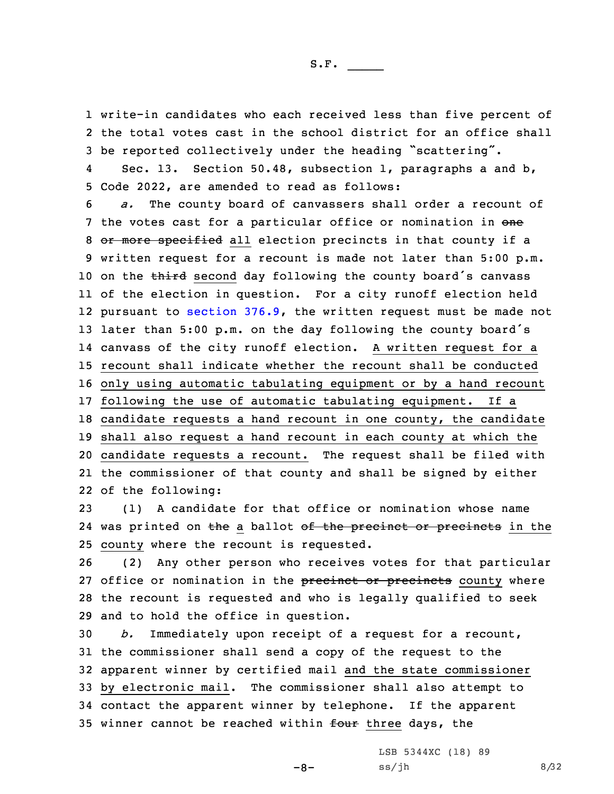1 write-in candidates who each received less than five percent of 2 the total votes cast in the school district for an office shall <sup>3</sup> be reported collectively under the heading "scattering".

4 Sec. 13. Section 50.48, subsection 1, paragraphs <sup>a</sup> and b, 5 Code 2022, are amended to read as follows:

 *a.* The county board of canvassers shall order <sup>a</sup> recount of 7 the votes cast for a particular office or nomination in one 8 or more specified all election precincts in that county if a written request for <sup>a</sup> recount is made not later than 5:00 p.m. 10 on the third second day following the county board's canvass of the election in question. For <sup>a</sup> city runoff election held pursuant to [section](https://www.legis.iowa.gov/docs/code/2022/376.9.pdf) 376.9, the written request must be made not later than 5:00 p.m. on the day following the county board's canvass of the city runoff election. <sup>A</sup> written request for <sup>a</sup> recount shall indicate whether the recount shall be conducted only using automatic tabulating equipment or by <sup>a</sup> hand recount following the use of automatic tabulating equipment. If <sup>a</sup> candidate requests <sup>a</sup> hand recount in one county, the candidate shall also request <sup>a</sup> hand recount in each county at which the candidate requests <sup>a</sup> recount. The request shall be filed with the commissioner of that county and shall be signed by either of the following:

23 (1) <sup>A</sup> candidate for that office or nomination whose name 24 was printed on <del>the</del> a ballot <del>of the precinct or precincts</del> in the 25 county where the recount is requested.

 (2) Any other person who receives votes for that particular 27 office or nomination in the precinct or precincts county where the recount is requested and who is legally qualified to seek and to hold the office in question.

 *b.* Immediately upon receipt of <sup>a</sup> request for <sup>a</sup> recount, the commissioner shall send <sup>a</sup> copy of the request to the apparent winner by certified mail and the state commissioner by electronic mail. The commissioner shall also attempt to contact the apparent winner by telephone. If the apparent 35 winner cannot be reached within four three days, the

-8-

LSB 5344XC (18) 89  $ss/jh$  8/32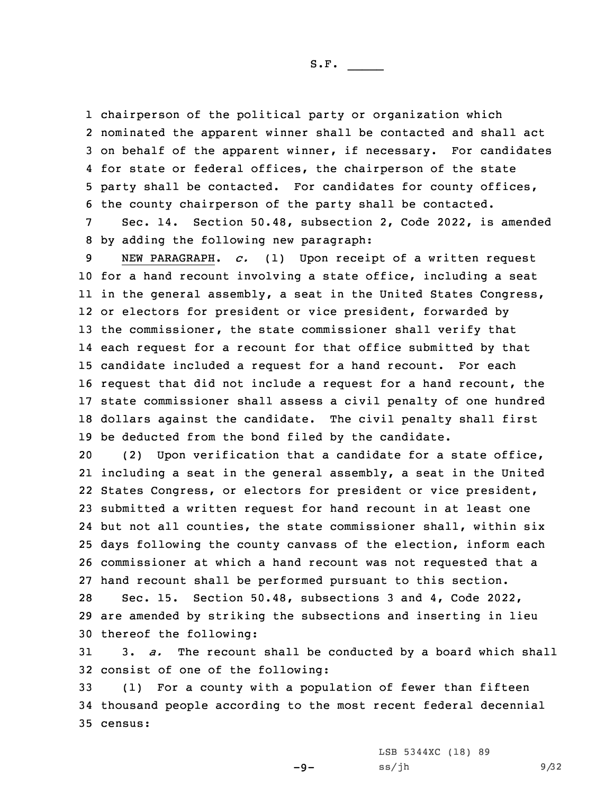S.F.  $\rule{1em}{0.15mm}$ 

 chairperson of the political party or organization which nominated the apparent winner shall be contacted and shall act on behalf of the apparent winner, if necessary. For candidates for state or federal offices, the chairperson of the state party shall be contacted. For candidates for county offices, the county chairperson of the party shall be contacted.

7 Sec. 14. Section 50.48, subsection 2, Code 2022, is amended 8 by adding the following new paragraph:

 NEW PARAGRAPH. *c.* (1) Upon receipt of <sup>a</sup> written request for <sup>a</sup> hand recount involving <sup>a</sup> state office, including <sup>a</sup> seat in the general assembly, <sup>a</sup> seat in the United States Congress, or electors for president or vice president, forwarded by the commissioner, the state commissioner shall verify that each request for <sup>a</sup> recount for that office submitted by that candidate included <sup>a</sup> request for <sup>a</sup> hand recount. For each request that did not include <sup>a</sup> request for <sup>a</sup> hand recount, the state commissioner shall assess <sup>a</sup> civil penalty of one hundred dollars against the candidate. The civil penalty shall first be deducted from the bond filed by the candidate.

 (2) Upon verification that <sup>a</sup> candidate for <sup>a</sup> state office, including <sup>a</sup> seat in the general assembly, <sup>a</sup> seat in the United States Congress, or electors for president or vice president, submitted <sup>a</sup> written request for hand recount in at least one but not all counties, the state commissioner shall, within six days following the county canvass of the election, inform each commissioner at which <sup>a</sup> hand recount was not requested that <sup>a</sup> hand recount shall be performed pursuant to this section.

28 Sec. 15. Section 50.48, subsections 3 and 4, Code 2022, 29 are amended by striking the subsections and inserting in lieu 30 thereof the following:

31 3. *a.* The recount shall be conducted by <sup>a</sup> board which shall 32 consist of one of the following:

33 (1) For <sup>a</sup> county with <sup>a</sup> population of fewer than fifteen 34 thousand people according to the most recent federal decennial 35 census:

-9-

LSB 5344XC (18) 89  $ss/jh$  9/32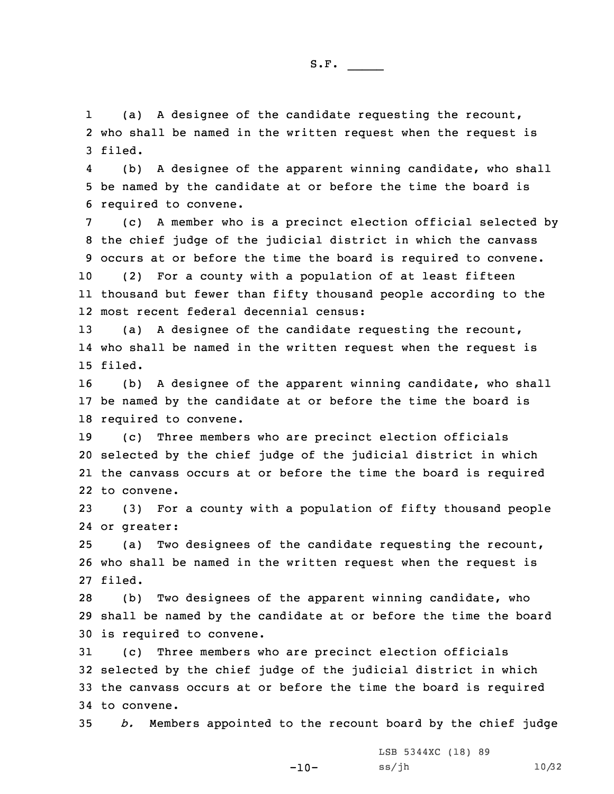1 (a) <sup>A</sup> designee of the candidate requesting the recount, 2 who shall be named in the written request when the request is 3 filed.

4 (b) <sup>A</sup> designee of the apparent winning candidate, who shall 5 be named by the candidate at or before the time the board is 6 required to convene.

 (c) <sup>A</sup> member who is <sup>a</sup> precinct election official selected by the chief judge of the judicial district in which the canvass occurs at or before the time the board is required to convene. (2) For <sup>a</sup> county with <sup>a</sup> population of at least fifteen thousand but fewer than fifty thousand people according to the most recent federal decennial census:

13 (a) <sup>A</sup> designee of the candidate requesting the recount, 14 who shall be named in the written request when the request is 15 filed.

16 (b) <sup>A</sup> designee of the apparent winning candidate, who shall 17 be named by the candidate at or before the time the board is 18 required to convene.

 (c) Three members who are precinct election officials selected by the chief judge of the judicial district in which the canvass occurs at or before the time the board is required to convene.

23 (3) For <sup>a</sup> county with <sup>a</sup> population of fifty thousand people 24 or greater:

25 (a) Two designees of the candidate requesting the recount, 26 who shall be named in the written request when the request is 27 filed.

28 (b) Two designees of the apparent winning candidate, who 29 shall be named by the candidate at or before the time the board 30 is required to convene.

 (c) Three members who are precinct election officials selected by the chief judge of the judicial district in which the canvass occurs at or before the time the board is required to convene.

35 *b.* Members appointed to the recount board by the chief judge

-10-

LSB 5344XC (18) 89 ss/jh 10/32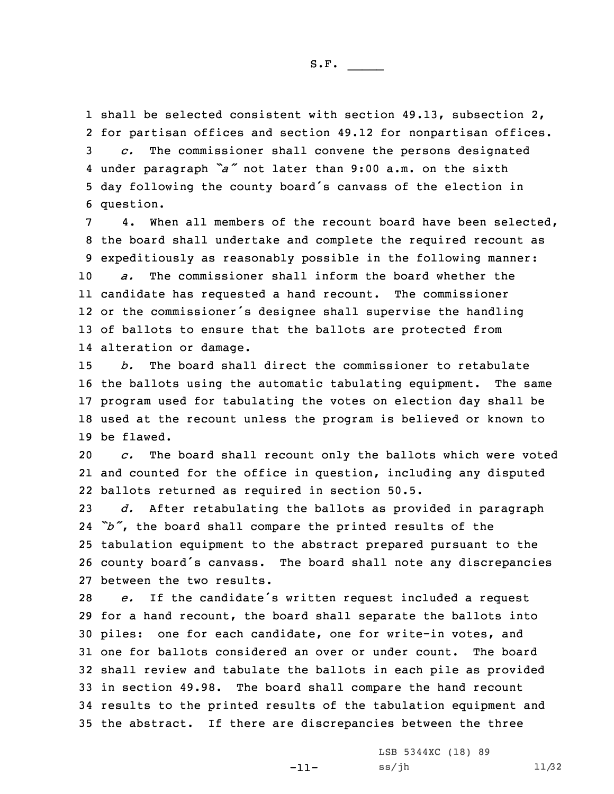shall be selected consistent with section 49.13, subsection 2, for partisan offices and section 49.12 for nonpartisan offices. *c.* The commissioner shall convene the persons designated under paragraph *"a"* not later than 9:00 a.m. on the sixth day following the county board's canvass of the election in question.

 4. When all members of the recount board have been selected, the board shall undertake and complete the required recount as expeditiously as reasonably possible in the following manner: *a.* The commissioner shall inform the board whether the candidate has requested <sup>a</sup> hand recount. The commissioner or the commissioner's designee shall supervise the handling of ballots to ensure that the ballots are protected from alteration or damage.

 *b.* The board shall direct the commissioner to retabulate the ballots using the automatic tabulating equipment. The same program used for tabulating the votes on election day shall be used at the recount unless the program is believed or known to be flawed.

20 *c.* The board shall recount only the ballots which were voted 21 and counted for the office in question, including any disputed 22 ballots returned as required in section 50.5.

 *d.* After retabulating the ballots as provided in paragraph *"b"*, the board shall compare the printed results of the tabulation equipment to the abstract prepared pursuant to the county board's canvass. The board shall note any discrepancies between the two results.

 *e.* If the candidate's written request included <sup>a</sup> request for <sup>a</sup> hand recount, the board shall separate the ballots into piles: one for each candidate, one for write-in votes, and one for ballots considered an over or under count. The board shall review and tabulate the ballots in each pile as provided in section 49.98. The board shall compare the hand recount results to the printed results of the tabulation equipment and the abstract. If there are discrepancies between the three

-11-

LSB 5344XC (18) 89 ss/jh 11/32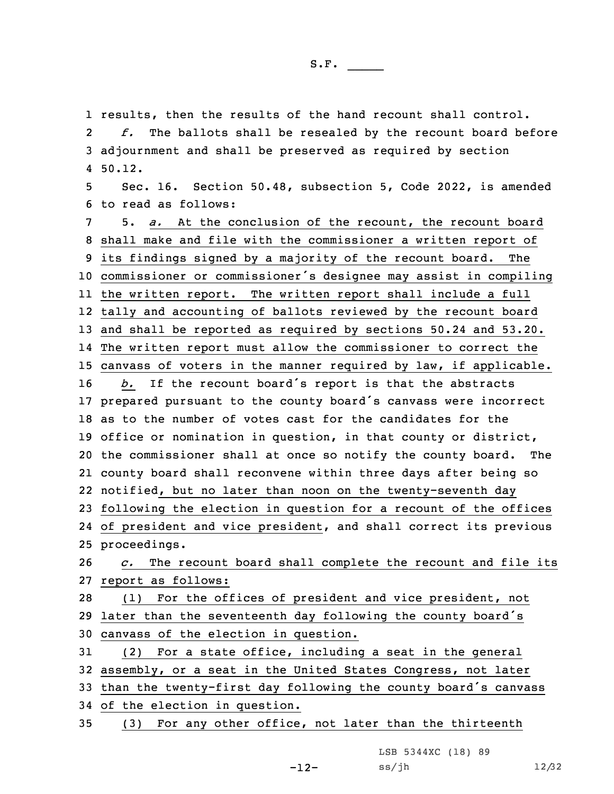1 results, then the results of the hand recount shall control.

2 *f.* The ballots shall be resealed by the recount board before 3 adjournment and shall be preserved as required by section 4 50.12.

5 Sec. 16. Section 50.48, subsection 5, Code 2022, is amended 6 to read as follows:

 5. *a.* At the conclusion of the recount, the recount board shall make and file with the commissioner <sup>a</sup> written report of its findings signed by <sup>a</sup> majority of the recount board. The commissioner or commissioner's designee may assist in compiling the written report. The written report shall include <sup>a</sup> full tally and accounting of ballots reviewed by the recount board and shall be reported as required by sections 50.24 and 53.20. The written report must allow the commissioner to correct the canvass of voters in the manner required by law, if applicable. *b.* If the recount board's report is that the abstracts prepared pursuant to the county board's canvass were incorrect as to the number of votes cast for the candidates for the office or nomination in question, in that county or district, the commissioner shall at once so notify the county board. The county board shall reconvene within three days after being so notified, but no later than noon on the twenty-seventh day following the election in question for <sup>a</sup> recount of the offices of president and vice president, and shall correct its previous proceedings. *c.* The recount board shall complete the recount and file its

27 report as follows:

28 (1) For the offices of president and vice president, not <sup>29</sup> later than the seventeenth day following the county board's 30 canvass of the election in question.

 (2) For <sup>a</sup> state office, including <sup>a</sup> seat in the general assembly, or <sup>a</sup> seat in the United States Congress, not later than the twenty-first day following the county board's canvass of the election in question.

35 (3) For any other office, not later than the thirteenth

LSB 5344XC (18) 89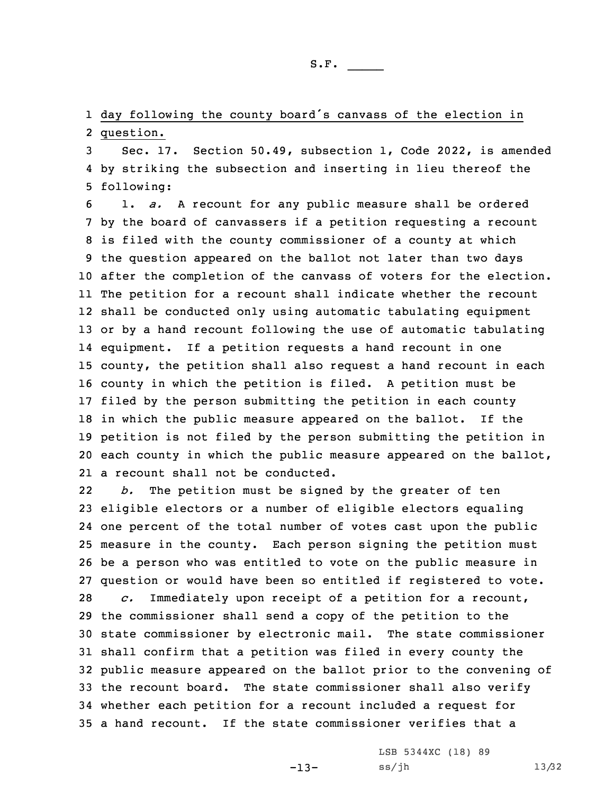1 day following the county board's canvass of the election in 2 question.

3 Sec. 17. Section 50.49, subsection 1, Code 2022, is amended 4 by striking the subsection and inserting in lieu thereof the 5 following:

 1. *a.* <sup>A</sup> recount for any public measure shall be ordered by the board of canvassers if <sup>a</sup> petition requesting <sup>a</sup> recount is filed with the county commissioner of <sup>a</sup> county at which the question appeared on the ballot not later than two days after the completion of the canvass of voters for the election. The petition for <sup>a</sup> recount shall indicate whether the recount shall be conducted only using automatic tabulating equipment or by <sup>a</sup> hand recount following the use of automatic tabulating equipment. If <sup>a</sup> petition requests <sup>a</sup> hand recount in one county, the petition shall also request <sup>a</sup> hand recount in each county in which the petition is filed. <sup>A</sup> petition must be filed by the person submitting the petition in each county in which the public measure appeared on the ballot. If the petition is not filed by the person submitting the petition in each county in which the public measure appeared on the ballot, a recount shall not be conducted.

22 *b.* The petition must be signed by the greater of ten eligible electors or <sup>a</sup> number of eligible electors equaling one percent of the total number of votes cast upon the public measure in the county. Each person signing the petition must be <sup>a</sup> person who was entitled to vote on the public measure in question or would have been so entitled if registered to vote. *c.* Immediately upon receipt of <sup>a</sup> petition for <sup>a</sup> recount, the commissioner shall send <sup>a</sup> copy of the petition to the state commissioner by electronic mail. The state commissioner shall confirm that <sup>a</sup> petition was filed in every county the public measure appeared on the ballot prior to the convening of the recount board. The state commissioner shall also verify whether each petition for <sup>a</sup> recount included <sup>a</sup> request for <sup>a</sup> hand recount. If the state commissioner verifies that <sup>a</sup>

-13-

LSB 5344XC (18) 89 ss/jh 13/32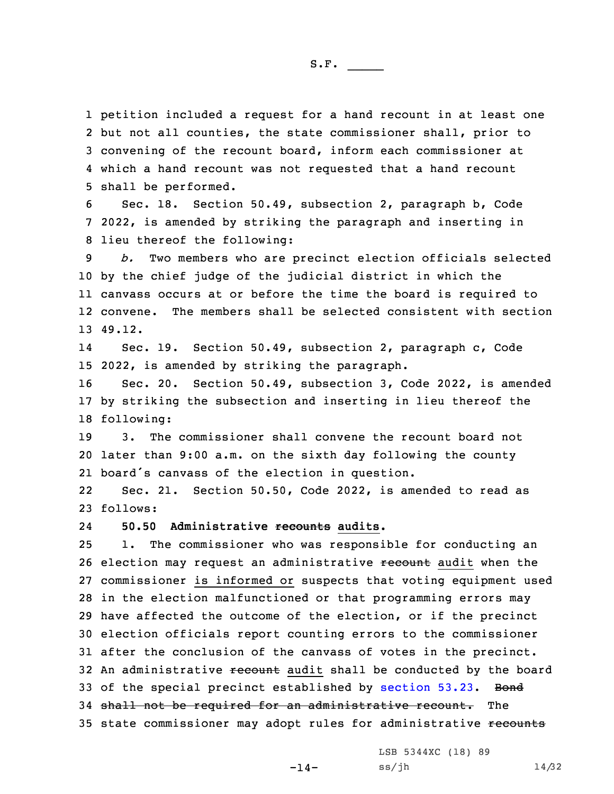petition included <sup>a</sup> request for <sup>a</sup> hand recount in at least one but not all counties, the state commissioner shall, prior to convening of the recount board, inform each commissioner at which <sup>a</sup> hand recount was not requested that <sup>a</sup> hand recount shall be performed.

6 Sec. 18. Section 50.49, subsection 2, paragraph b, Code 7 2022, is amended by striking the paragraph and inserting in 8 lieu thereof the following:

9 *b.* Two members who are precinct election officials selected 10 by the chief judge of the judicial district in which the 11 canvass occurs at or before the time the board is required to 12 convene. The members shall be selected consistent with section 13 49.12.

14 Sec. 19. Section 50.49, subsection 2, paragraph c, Code 15 2022, is amended by striking the paragraph.

16 Sec. 20. Section 50.49, subsection 3, Code 2022, is amended 17 by striking the subsection and inserting in lieu thereof the 18 following:

19 3. The commissioner shall convene the recount board not 20 later than 9:00 a.m. on the sixth day following the county 21 board's canvass of the election in question.

22 Sec. 21. Section 50.50, Code 2022, is amended to read as 23 follows:

24**50.50 Administrative recounts audits.**

25 1. The commissioner who was responsible for conducting an 26 election may request an administrative recount audit when the 27 commissioner is informed or suspects that voting equipment used 28 in the election malfunctioned or that programming errors may 29 have affected the outcome of the election, or if the precinct 30 election officials report counting errors to the commissioner 31 after the conclusion of the canvass of votes in the precinct. 32 An administrative recount audit shall be conducted by the board 33 of the special precinct established by [section](https://www.legis.iowa.gov/docs/code/2022/53.23.pdf) 53.23. Bond 34 shall not be required for an administrative recount. The 35 state commissioner may adopt rules for administrative recounts

-14-

LSB 5344XC (18) 89 ss/jh 14/32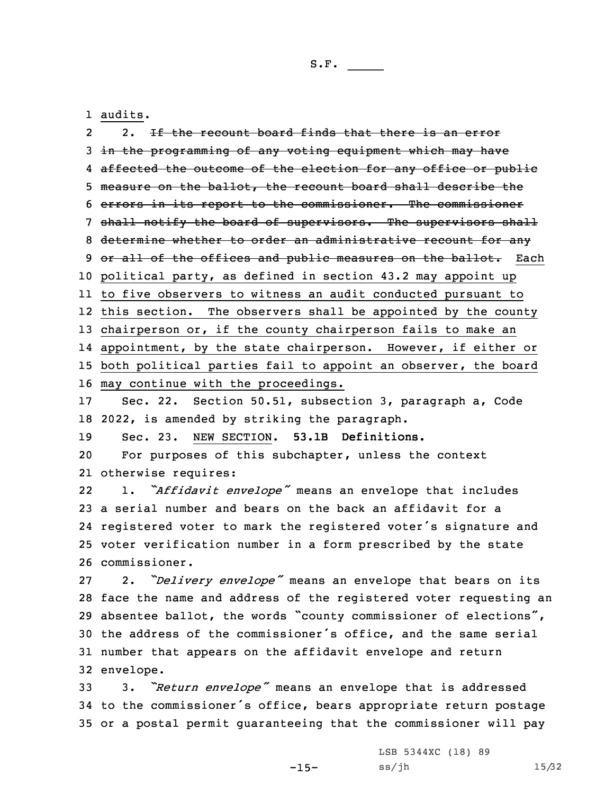1 audits.

2 2. If the recount board finds that there is an error in the programming of any voting equipment which may have 4 <del>affected the outcome of the election for any office or public</del> measure on the ballot, the recount board shall describe the errors in its report to the commissioner. The commissioner 7 shall notify the board of supervisors. The supervisors shall determine whether to order an administrative recount for any 9 or all of the offices and public measures on the ballot. Each political party, as defined in section 43.2 may appoint up to five observers to witness an audit conducted pursuant to this section. The observers shall be appointed by the county chairperson or, if the county chairperson fails to make an appointment, by the state chairperson. However, if either or both political parties fail to appoint an observer, the board may continue with the proceedings. Sec. 22. Section 50.51, subsection 3, paragraph a, Code 2022, is amended by striking the paragraph. Sec. 23. NEW SECTION. **53.1B Definitions.** For purposes of this subchapter, unless the context otherwise requires: 22 1. *"Affidavit envelope"* means an envelope that includes <sup>a</sup> serial number and bears on the back an affidavit for <sup>a</sup> registered voter to mark the registered voter's signature and voter verification number in <sup>a</sup> form prescribed by the state commissioner. 2. *"Delivery envelope"* means an envelope that bears on its face the name and address of the registered voter requesting an absentee ballot, the words "county commissioner of elections", the address of the commissioner's office, and the same serial number that appears on the affidavit envelope and return envelope. 3. *"Return envelope"* means an envelope that is addressed

<sup>34</sup> to the commissioner's office, bears appropriate return postage 35 or <sup>a</sup> postal permit guaranteeing that the commissioner will pay

-15-

LSB 5344XC (18) 89 ss/jh 15/32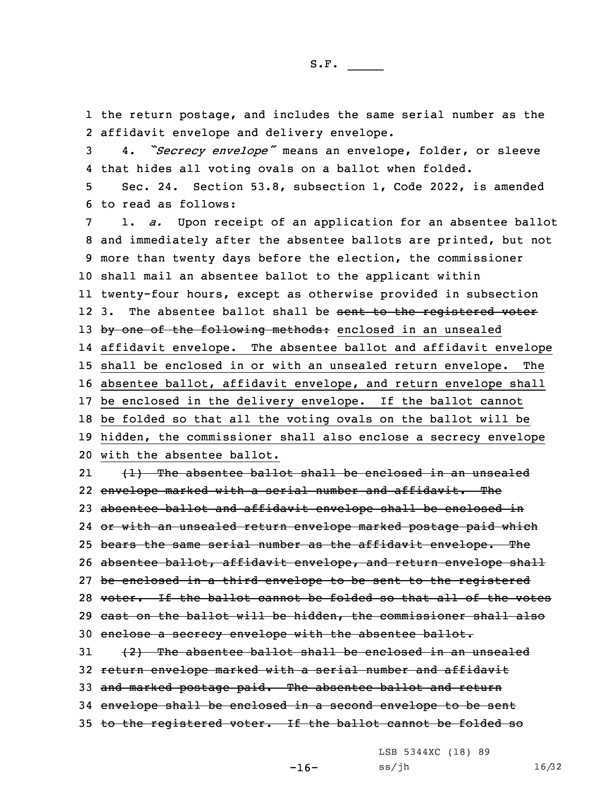1 the return postage, and includes the same serial number as the 2 affidavit envelope and delivery envelope.

<sup>3</sup> 4. *"Secrecy envelope"* means an envelope, folder, or sleeve 4 that hides all voting ovals on <sup>a</sup> ballot when folded.

5 Sec. 24. Section 53.8, subsection 1, Code 2022, is amended 6 to read as follows:

 1. *a.* Upon receipt of an application for an absentee ballot and immediately after the absentee ballots are printed, but not more than twenty days before the election, the commissioner shall mail an absentee ballot to the applicant within twenty-four hours, except as otherwise provided in subsection 12 3. The absentee ballot shall be sent to the registered voter 13 by one of the following methods: enclosed in an unsealed affidavit envelope. The absentee ballot and affidavit envelope shall be enclosed in or with an unsealed return envelope. The absentee ballot, affidavit envelope, and return envelope shall be enclosed in the delivery envelope. If the ballot cannot be folded so that all the voting ovals on the ballot will be hidden, the commissioner shall also enclose <sup>a</sup> secrecy envelope with the absentee ballot. 21 (1) The absentee ballot shall be enclosed in an unsealed envelope marked with <sup>a</sup> serial number and affidavit. The 23 absentee ballot and affidavit envelope shall be enclosed in

24 or with an unsealed return envelope marked postage paid which

25 bears the same serial number as the affidavit envelope. The

26 absentee ballot, affidavit envelope, and return envelope shall

27 be enclosed in <sup>a</sup> third envelope to be sent to the registered

28 voter. If the ballot cannot be folded so that all of the votes 29 cast on the ballot will be hidden, the commissioner shall also

30 enclose a secrecy envelope with the absentee ballot.

 (2) The absentee ballot shall be enclosed in an unsealed return envelope marked with <sup>a</sup> serial number and affidavit 33 and marked postage paid. The absentee ballot and return envelope shall be enclosed in <sup>a</sup> second envelope to be sent

35 to the registered voter. If the ballot cannot be folded so

LSB 5344XC (18) 89

-16-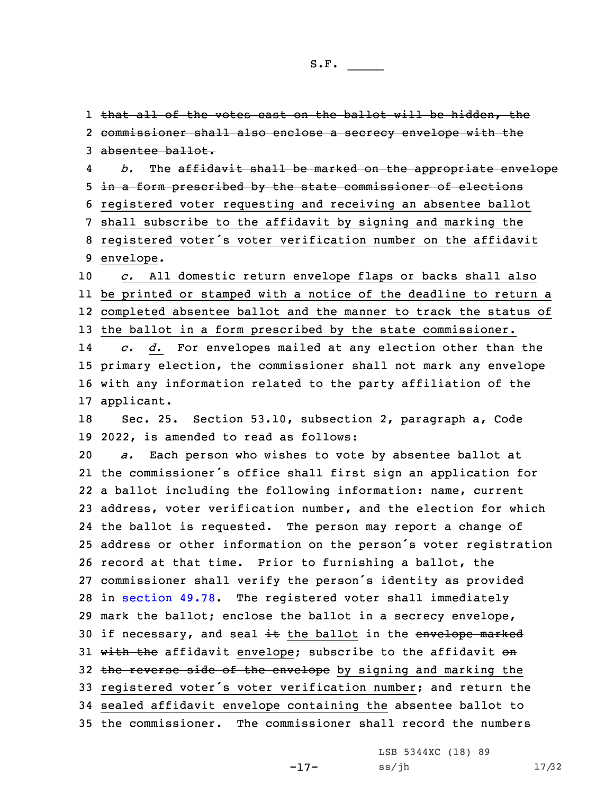1 that all of the votes cast on the ballot will be hidden, the

 commissioner shall also enclose <sup>a</sup> secrecy envelope with the absentee ballot. 4 *b.* The affidavit shall be marked on the appropriate envelope in <sup>a</sup> form prescribed by the state commissioner of elections registered voter requesting and receiving an absentee ballot shall subscribe to the affidavit by signing and marking the registered voter's voter verification number on the affidavit envelope. *c.* All domestic return envelope flaps or backs shall also be printed or stamped with <sup>a</sup> notice of the deadline to return <sup>a</sup> completed absentee ballot and the manner to track the status of 13 the ballot in a form prescribed by the state commissioner. 14 *c. d.* For envelopes mailed at any election other than the primary election, the commissioner shall not mark any envelope with any information related to the party affiliation of the applicant. Sec. 25. Section 53.10, subsection 2, paragraph a, Code 2022, is amended to read as follows: *a.* Each person who wishes to vote by absentee ballot at the commissioner's office shall first sign an application for <sup>a</sup> ballot including the following information: name, current address, voter verification number, and the election for which the ballot is requested. The person may report <sup>a</sup> change of address or other information on the person's voter registration

 record at that time. Prior to furnishing <sup>a</sup> ballot, the commissioner shall verify the person's identity as provided in [section](https://www.legis.iowa.gov/docs/code/2022/49.78.pdf) 49.78. The registered voter shall immediately mark the ballot; enclose the ballot in <sup>a</sup> secrecy envelope, 30 if necessary, and seal  $\pm\text{t}$  the ballot in the envelope marked 31 with the affidavit envelope; subscribe to the affidavit on 32 the reverse side of the envelope by signing and marking the registered voter's voter verification number; and return the sealed affidavit envelope containing the absentee ballot to the commissioner. The commissioner shall record the numbers

-17-

LSB 5344XC (18) 89 ss/jh 17/32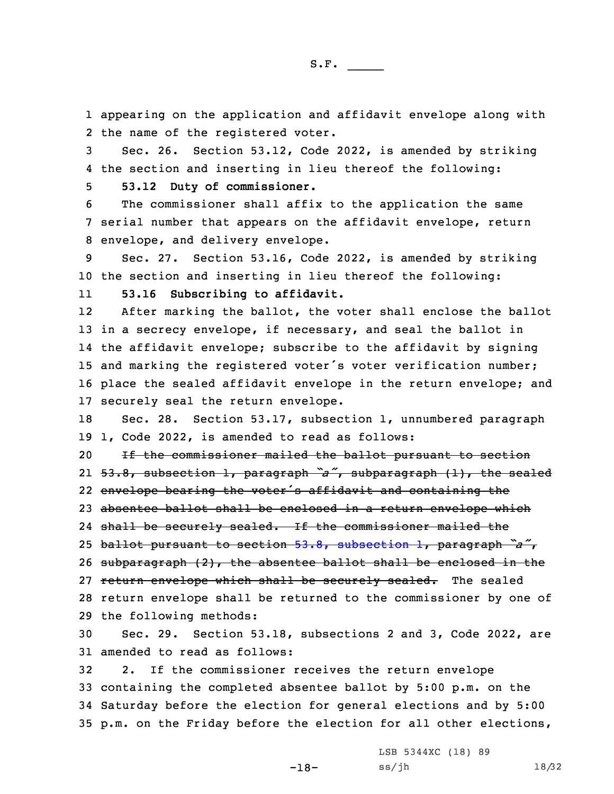1 appearing on the application and affidavit envelope along with 2 the name of the registered voter.

3 Sec. 26. Section 53.12, Code 2022, is amended by striking 4 the section and inserting in lieu thereof the following:

5 **53.12 Duty of commissioner.**

6 The commissioner shall affix to the application the same 7 serial number that appears on the affidavit envelope, return 8 envelope, and delivery envelope.

9 Sec. 27. Section 53.16, Code 2022, is amended by striking 10 the section and inserting in lieu thereof the following:

11**53.16 Subscribing to affidavit.**

12 After marking the ballot, the voter shall enclose the ballot in <sup>a</sup> secrecy envelope, if necessary, and seal the ballot in the affidavit envelope; subscribe to the affidavit by signing and marking the registered voter's voter verification number; place the sealed affidavit envelope in the return envelope; and securely seal the return envelope.

18 Sec. 28. Section 53.17, subsection 1, unnumbered paragraph 19 1, Code 2022, is amended to read as follows:

 If the commissioner mailed the ballot pursuant to section 53.8, subsection 1, paragraph *"a"*, subparagraph (1), the sealed envelope bearing the voter's affidavit and containing the absentee ballot shall be enclosed in <sup>a</sup> return envelope which

24 shall be securely sealed. If the commissioner mailed the

<sup>25</sup> ballot pursuant to section 53.8, [subsection](https://www.legis.iowa.gov/docs/code/2022/53.8.pdf) 1, paragraph *"a"*,

26 subparagraph (2), the absentee ballot shall be enclosed in the

27 return envelope which shall be securely sealed. The sealed

28 return envelope shall be returned to the commissioner by one of 29 the following methods:

30 Sec. 29. Section 53.18, subsections 2 and 3, Code 2022, are 31 amended to read as follows:

 2. If the commissioner receives the return envelope containing the completed absentee ballot by 5:00 p.m. on the Saturday before the election for general elections and by 5:00 p.m. on the Friday before the election for all other elections,

-18-

LSB 5344XC (18) 89 ss/jh 18/32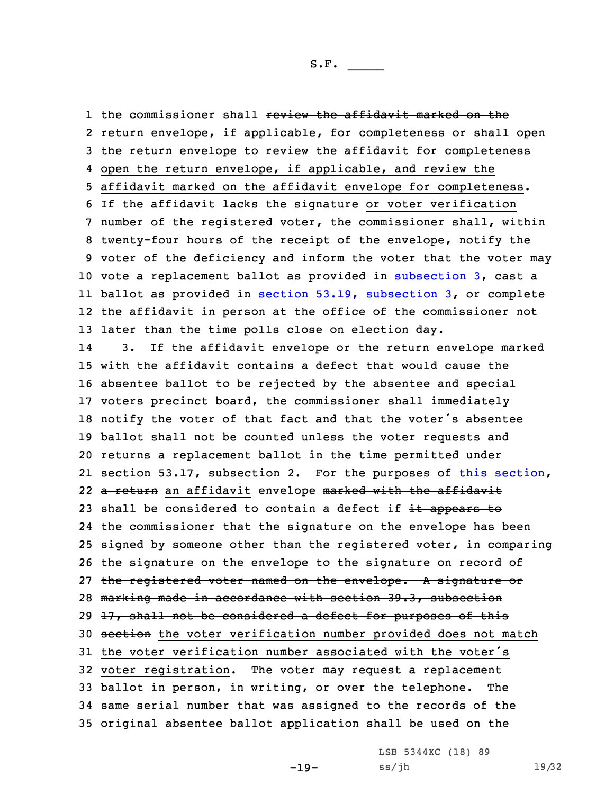1 the commissioner shall <del>review the affidavit marked on the</del> return envelope, if applicable, for completeness or shall open the return envelope to review the affidavit for completeness open the return envelope, if applicable, and review the affidavit marked on the affidavit envelope for completeness. If the affidavit lacks the signature or voter verification number of the registered voter, the commissioner shall, within twenty-four hours of the receipt of the envelope, notify the voter of the deficiency and inform the voter that the voter may vote <sup>a</sup> replacement ballot as provided in [subsection](https://www.legis.iowa.gov/docs/code/2022/53.18.pdf) 3, cast <sup>a</sup> ballot as provided in section 53.19, [subsection](https://www.legis.iowa.gov/docs/code/2022/53.19.pdf) 3, or complete the affidavit in person at the office of the commissioner not later than the time polls close on election day. 143. If the affidavit envelope or the return envelope marked 15 with the affidavit contains a defect that would cause the absentee ballot to be rejected by the absentee and special voters precinct board, the commissioner shall immediately notify the voter of that fact and that the voter's absentee ballot shall not be counted unless the voter requests and returns <sup>a</sup> replacement ballot in the time permitted under section 53.17, subsection 2. For the purposes of this [section](https://www.legis.iowa.gov/docs/code/2022/53.18.pdf), 22 <del>a return</del> an affidavit envelope <del>marked with the affidavit</del> 23 shall be considered to contain a defect if it appears to the commissioner that the signature on the envelope has been 25 signed by someone other than the registered voter, in comparing the signature on the envelope to the signature on record of the registered voter named on the envelope. <sup>A</sup> signature or marking made in accordance with section 39.3, subsection  $17$ , shall not be considered a defect for purposes of this 30 section the voter verification number provided does not match the voter verification number associated with the voter's voter registration. The voter may request <sup>a</sup> replacement ballot in person, in writing, or over the telephone. The same serial number that was assigned to the records of the original absentee ballot application shall be used on the

-19-

LSB 5344XC (18) 89 ss/jh 19/32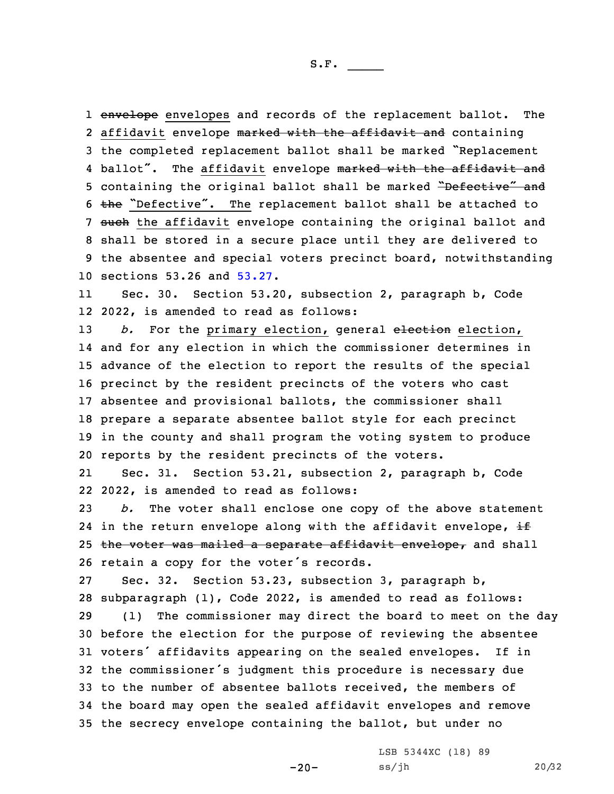1 envelope envelopes and records of the replacement ballot. The 2 affidavit envelope <del>marked with the affidavit and</del> containing <sup>3</sup> the completed replacement ballot shall be marked "Replacement 4 ballot". The affidavit envelope marked with the affidavit and 5 containing the original ballot shall be marked "Defective" and 6  $the$  "Defective". The replacement ballot shall be attached to 7 such the affidavit envelope containing the original ballot and 8 shall be stored in <sup>a</sup> secure place until they are delivered to 9 the absentee and special voters precinct board, notwithstanding 10 sections 53.26 and [53.27](https://www.legis.iowa.gov/docs/code/2022/53.27.pdf).

11 Sec. 30. Section 53.20, subsection 2, paragraph b, Code 12 2022, is amended to read as follows:

*b.* For the primary election, general election election, and for any election in which the commissioner determines in advance of the election to report the results of the special precinct by the resident precincts of the voters who cast absentee and provisional ballots, the commissioner shall prepare <sup>a</sup> separate absentee ballot style for each precinct in the county and shall program the voting system to produce reports by the resident precincts of the voters.

21 Sec. 31. Section 53.21, subsection 2, paragraph b, Code 22 2022, is amended to read as follows:

23 *b.* The voter shall enclose one copy of the above statement 24 in the return envelope along with the affidavit envelope,  $\pm$ 25 the voter was mailed a separate affidavit envelope, and shall <sup>26</sup> retain <sup>a</sup> copy for the voter's records.

 Sec. 32. Section 53.23, subsection 3, paragraph b, subparagraph (1), Code 2022, is amended to read as follows: (1) The commissioner may direct the board to meet on the day before the election for the purpose of reviewing the absentee voters' affidavits appearing on the sealed envelopes. If in the commissioner's judgment this procedure is necessary due to the number of absentee ballots received, the members of the board may open the sealed affidavit envelopes and remove the secrecy envelope containing the ballot, but under no

-20-

LSB 5344XC (18) 89 ss/jh 20/32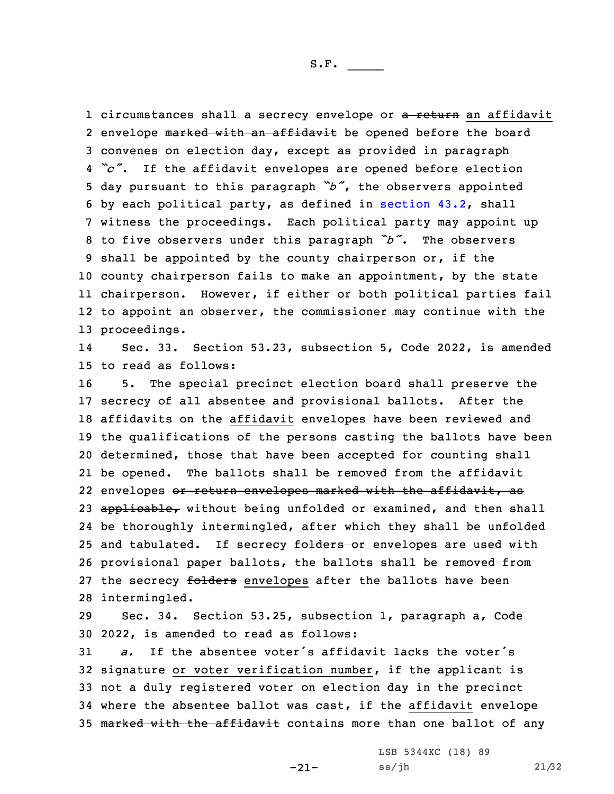1 circumstances shall a secrecy envelope or <del>a return</del> an affidavit 2 envelope <del>marked with an affidavit</del> be opened before the board convenes on election day, except as provided in paragraph *"c"*. If the affidavit envelopes are opened before election day pursuant to this paragraph *"b"*, the observers appointed by each political party, as defined in [section](https://www.legis.iowa.gov/docs/code/2022/43.2.pdf) 43.2, shall witness the proceedings. Each political party may appoint up to five observers under this paragraph *"b"*. The observers shall be appointed by the county chairperson or, if the county chairperson fails to make an appointment, by the state chairperson. However, if either or both political parties fail to appoint an observer, the commissioner may continue with the proceedings.

14 Sec. 33. Section 53.23, subsection 5, Code 2022, is amended 15 to read as follows:

 5. The special precinct election board shall preserve the secrecy of all absentee and provisional ballots. After the affidavits on the affidavit envelopes have been reviewed and the qualifications of the persons casting the ballots have been determined, those that have been accepted for counting shall be opened. The ballots shall be removed from the affidavit 22 envelopes <del>or return envelopes marked with the affidavit, as</del> 23 applicable, without being unfolded or examined, and then shall be thoroughly intermingled, after which they shall be unfolded 25 and tabulated. If secrecy folders or envelopes are used with provisional paper ballots, the ballots shall be removed from 27 the secrecy folders envelopes after the ballots have been intermingled.

29 Sec. 34. Section 53.25, subsection 1, paragraph a, Code 30 2022, is amended to read as follows:

 *a.* If the absentee voter's affidavit lacks the voter's signature or voter verification number, if the applicant is not <sup>a</sup> duly registered voter on election day in the precinct where the absentee ballot was cast, if the affidavit envelope 35 marked with the affidavit contains more than one ballot of any

-21-

LSB 5344XC (18) 89 ss/jh 21/32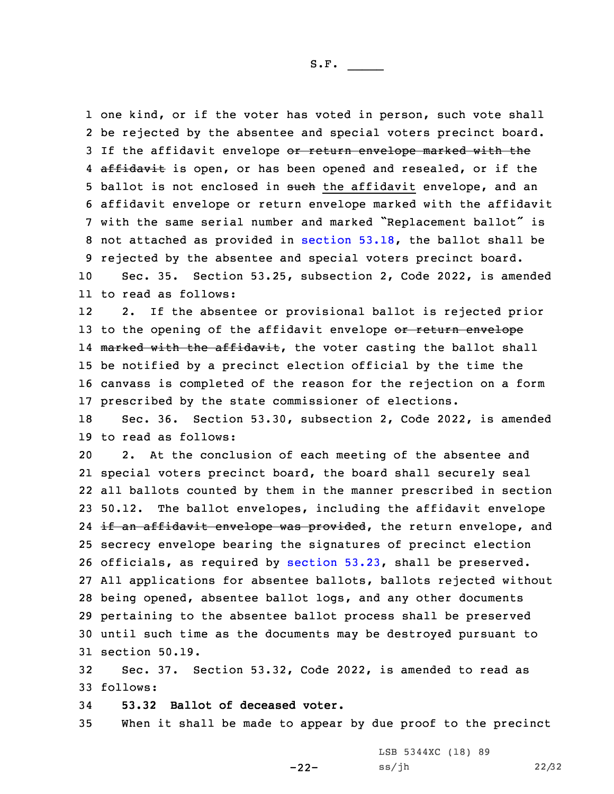one kind, or if the voter has voted in person, such vote shall be rejected by the absentee and special voters precinct board. 3 If the affidavit envelope or return envelope marked with the 4 <del>affidavit</del> is open, or has been opened and resealed, or if the 5 ballot is not enclosed in such the affidavit envelope, and an affidavit envelope or return envelope marked with the affidavit with the same serial number and marked "Replacement ballot" is not attached as provided in [section](https://www.legis.iowa.gov/docs/code/2022/53.18.pdf) 53.18, the ballot shall be rejected by the absentee and special voters precinct board.

10 Sec. 35. Section 53.25, subsection 2, Code 2022, is amended 11 to read as follows:

12 2. If the absentee or provisional ballot is rejected prior 13 to the opening of the affidavit envelope or return envelope 14 <del>marked with the affidavit</del>, the voter casting the ballot shall 15 be notified by <sup>a</sup> precinct election official by the time the 16 canvass is completed of the reason for the rejection on <sup>a</sup> form 17 prescribed by the state commissioner of elections.

18 Sec. 36. Section 53.30, subsection 2, Code 2022, is amended 19 to read as follows:

 2. At the conclusion of each meeting of the absentee and special voters precinct board, the board shall securely seal all ballots counted by them in the manner prescribed in section 50.12. The ballot envelopes, including the affidavit envelope 24 <del>if an affidavit envelope was provided</del>, the return envelope, and secrecy envelope bearing the signatures of precinct election officials, as required by [section](https://www.legis.iowa.gov/docs/code/2022/53.23.pdf) 53.23, shall be preserved. All applications for absentee ballots, ballots rejected without being opened, absentee ballot logs, and any other documents pertaining to the absentee ballot process shall be preserved until such time as the documents may be destroyed pursuant to section 50.19.

32 Sec. 37. Section 53.32, Code 2022, is amended to read as 33 follows:

34 **53.32 Ballot of deceased voter.**

35 When it shall be made to appear by due proof to the precinct

-22-

LSB 5344XC (18) 89 ss/jh 22/32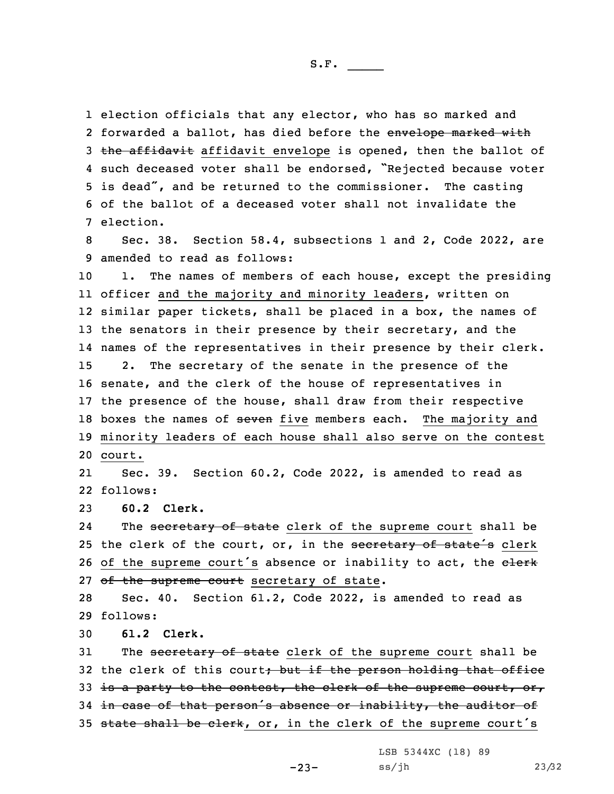election officials that any elector, who has so marked and 2 forwarded a ballot, has died before the <del>envelope marked with</del> 3 the affidavit affidavit envelope is opened, then the ballot of such deceased voter shall be endorsed, "Rejected because voter is dead", and be returned to the commissioner. The casting of the ballot of <sup>a</sup> deceased voter shall not invalidate the election.

8 Sec. 38. Section 58.4, subsections 1 and 2, Code 2022, are 9 amended to read as follows:

10 1. The names of members of each house, except the presiding 11 officer and the majority and minority leaders, written on 12 similar paper tickets, shall be placed in <sup>a</sup> box, the names of 13 the senators in their presence by their secretary, and the 14 names of the representatives in their presence by their clerk. 15 2. The secretary of the senate in the presence of the 16 senate, and the clerk of the house of representatives in 17 the presence of the house, shall draw from their respective 18 boxes the names of seven five members each. The majority and 19 minority leaders of each house shall also serve on the contest 20 court.

21 Sec. 39. Section 60.2, Code 2022, is amended to read as 22 follows:

23 **60.2 Clerk.**

24The secretary of state clerk of the supreme court shall be 25 the clerk of the court, or, in the secretary of state's clerk 26 of the supreme court's absence or inability to act, the elerk 27 of the supreme court secretary of state.

28 Sec. 40. Section 61.2, Code 2022, is amended to read as 29 follows:

30 **61.2 Clerk.**

31 The secretary of state clerk of the supreme court shall be 32 the clerk of this court; but if the person holding that office 33 is a party to the contest, the clerk of the supreme court, or, 34 in case of that person's absence or inability, the auditor of 35 state shall be clerk, or, in the clerk of the supreme court's

LSB 5344XC (18) 89

 $-23-$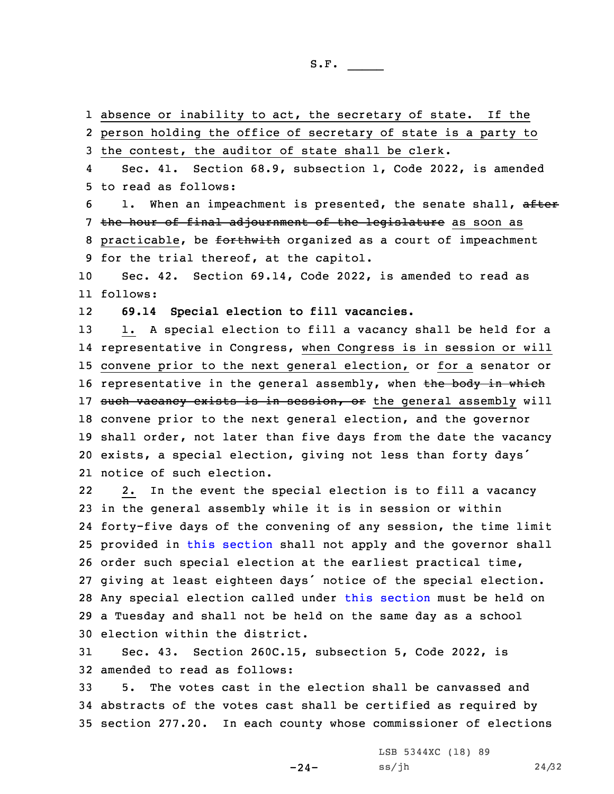absence or inability to act, the secretary of state. If the person holding the office of secretary of state is <sup>a</sup> party to the contest, the auditor of state shall be clerk. 4 Sec. 41. Section 68.9, subsection 1, Code 2022, is amended to read as follows: 6 1. When an impeachment is presented, the senate shall, after 7 the hour of final adjournment of the legislature as soon as 8 practicable, be forthwith organized as a court of impeachment for the trial thereof, at the capitol. Sec. 42. Section 69.14, Code 2022, is amended to read as 11 follows: 12 **69.14 Special election to fill vacancies.** 13 1. A special election to fill a vacancy shall be held for a representative in Congress, when Congress is in session or will convene prior to the next general election, or for <sup>a</sup> senator or 16 representative in the general assembly, when the body in which 17 such vacancy exists is in session, or the general assembly will convene prior to the next general election, and the governor shall order, not later than five days from the date the vacancy exists, <sup>a</sup> special election, giving not less than forty days' notice of such election. 22 2. In the event the special election is to fill <sup>a</sup> vacancy in the general assembly while it is in session or within forty-five days of the convening of any session, the time limit provided in this [section](https://www.legis.iowa.gov/docs/code/2022/69.14.pdf) shall not apply and the governor shall order such special election at the earliest practical time, giving at least eighteen days' notice of the special election. Any special election called under this [section](https://www.legis.iowa.gov/docs/code/2022/69.14.pdf) must be held on <sup>a</sup> Tuesday and shall not be held on the same day as <sup>a</sup> school election within the district. Sec. 43. Section 260C.15, subsection 5, Code 2022, is

32 amended to read as follows:

33 5. The votes cast in the election shall be canvassed and 34 abstracts of the votes cast shall be certified as required by 35 section 277.20. In each county whose commissioner of elections

-24-

LSB 5344XC (18) 89 ss/jh 24/32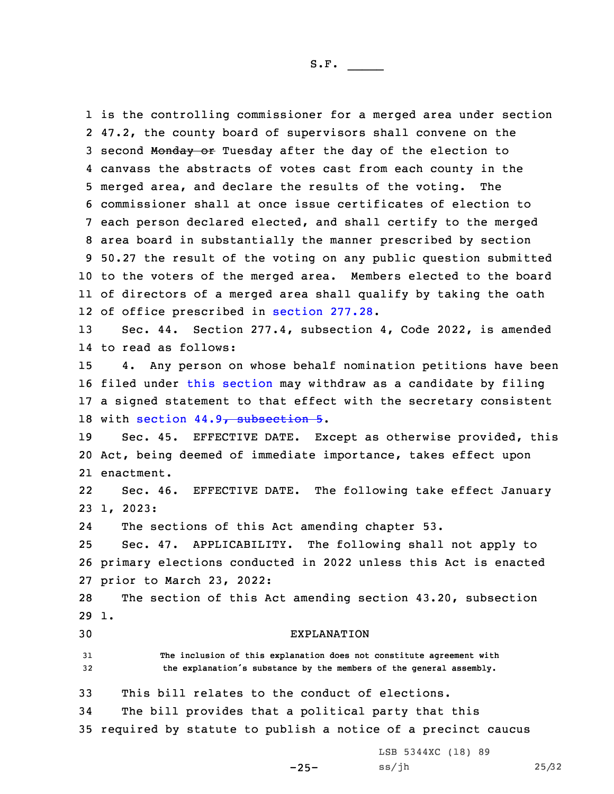is the controlling commissioner for <sup>a</sup> merged area under section 47.2, the county board of supervisors shall convene on the 3 second Monday or Tuesday after the day of the election to canvass the abstracts of votes cast from each county in the merged area, and declare the results of the voting. The commissioner shall at once issue certificates of election to each person declared elected, and shall certify to the merged area board in substantially the manner prescribed by section 50.27 the result of the voting on any public question submitted to the voters of the merged area. Members elected to the board of directors of <sup>a</sup> merged area shall qualify by taking the oath 12 of office prescribed in [section](https://www.legis.iowa.gov/docs/code/2022/277.28.pdf) 277.28.

13 Sec. 44. Section 277.4, subsection 4, Code 2022, is amended 14 to read as follows:

 4. Any person on whose behalf nomination petitions have been filed under this [section](https://www.legis.iowa.gov/docs/code/2022/277.4.pdf) may withdraw as <sup>a</sup> candidate by filing <sup>a</sup> signed statement to that effect with the secretary consistent 18 with section 44.9, [subsection](https://www.legis.iowa.gov/docs/code/2022/44.9.pdf) 5.

19 Sec. 45. EFFECTIVE DATE. Except as otherwise provided, this 20 Act, being deemed of immediate importance, takes effect upon 21 enactment.

22 Sec. 46. EFFECTIVE DATE. The following take effect January 23 1, 2023:

24The sections of this Act amending chapter 53.

25 Sec. 47. APPLICABILITY. The following shall not apply to 26 primary elections conducted in 2022 unless this Act is enacted 27 prior to March 23, 2022:

28 The section of this Act amending section 43.20, subsection 29 1.

30 EXPLANATION

31 **The inclusion of this explanation does not constitute agreement with** <sup>32</sup> **the explanation's substance by the members of the general assembly.**

33 This bill relates to the conduct of elections.

34 The bill provides that <sup>a</sup> political party that this

35 required by statute to publish <sup>a</sup> notice of <sup>a</sup> precinct caucus

 $-25-$ 

LSB 5344XC (18) 89 ss/jh 25/32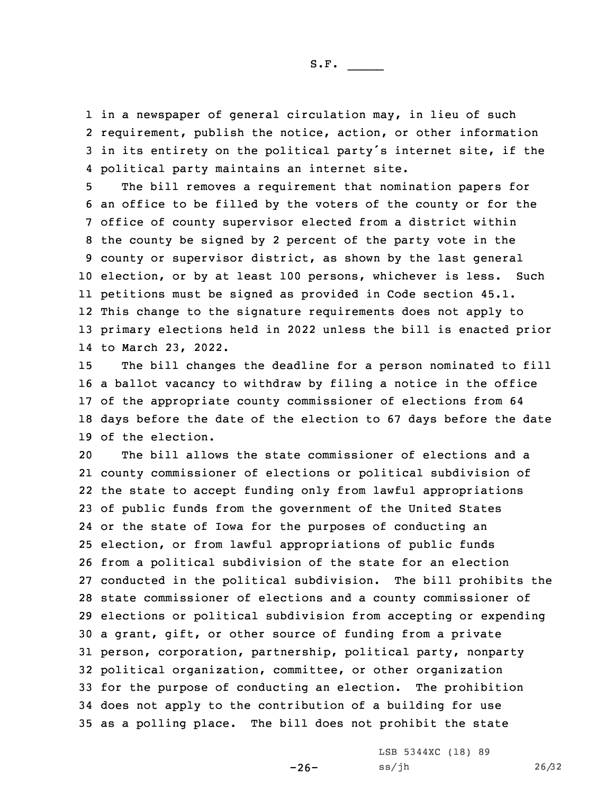in <sup>a</sup> newspaper of general circulation may, in lieu of such requirement, publish the notice, action, or other information in its entirety on the political party's internet site, if the political party maintains an internet site.

 The bill removes <sup>a</sup> requirement that nomination papers for an office to be filled by the voters of the county or for the office of county supervisor elected from <sup>a</sup> district within the county be signed by 2 percent of the party vote in the county or supervisor district, as shown by the last general election, or by at least 100 persons, whichever is less. Such petitions must be signed as provided in Code section 45.1. This change to the signature requirements does not apply to primary elections held in 2022 unless the bill is enacted prior to March 23, 2022.

 The bill changes the deadline for <sup>a</sup> person nominated to fill <sup>a</sup> ballot vacancy to withdraw by filing <sup>a</sup> notice in the office of the appropriate county commissioner of elections from 64 days before the date of the election to 67 days before the date of the election.

 The bill allows the state commissioner of elections and <sup>a</sup> county commissioner of elections or political subdivision of the state to accept funding only from lawful appropriations of public funds from the government of the United States or the state of Iowa for the purposes of conducting an election, or from lawful appropriations of public funds from <sup>a</sup> political subdivision of the state for an election conducted in the political subdivision. The bill prohibits the state commissioner of elections and <sup>a</sup> county commissioner of elections or political subdivision from accepting or expending <sup>a</sup> grant, gift, or other source of funding from <sup>a</sup> private person, corporation, partnership, political party, nonparty political organization, committee, or other organization for the purpose of conducting an election. The prohibition does not apply to the contribution of <sup>a</sup> building for use as <sup>a</sup> polling place. The bill does not prohibit the state

 $-26-$ 

LSB 5344XC (18) 89 ss/jh 26/32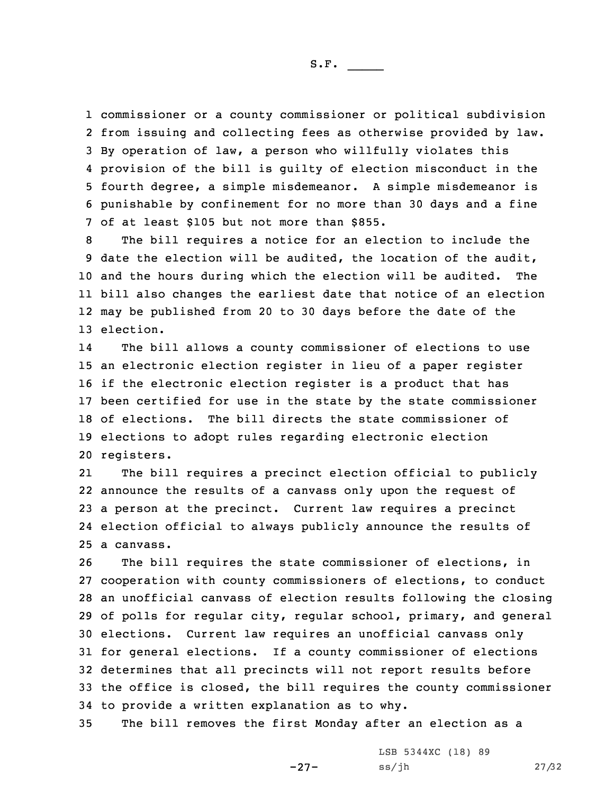S.F.  $\rule{1em}{0.15mm}$ 

 commissioner or <sup>a</sup> county commissioner or political subdivision from issuing and collecting fees as otherwise provided by law. By operation of law, <sup>a</sup> person who willfully violates this provision of the bill is guilty of election misconduct in the fourth degree, <sup>a</sup> simple misdemeanor. <sup>A</sup> simple misdemeanor is punishable by confinement for no more than 30 days and <sup>a</sup> fine of at least \$105 but not more than \$855.

 The bill requires <sup>a</sup> notice for an election to include the date the election will be audited, the location of the audit, and the hours during which the election will be audited. The bill also changes the earliest date that notice of an election may be published from 20 to 30 days before the date of the election.

14 The bill allows <sup>a</sup> county commissioner of elections to use an electronic election register in lieu of <sup>a</sup> paper register if the electronic election register is <sup>a</sup> product that has been certified for use in the state by the state commissioner of elections. The bill directs the state commissioner of elections to adopt rules regarding electronic election registers.

21 The bill requires <sup>a</sup> precinct election official to publicly announce the results of <sup>a</sup> canvass only upon the request of <sup>a</sup> person at the precinct. Current law requires <sup>a</sup> precinct election official to always publicly announce the results of a canvass.

 The bill requires the state commissioner of elections, in cooperation with county commissioners of elections, to conduct an unofficial canvass of election results following the closing of polls for regular city, regular school, primary, and general elections. Current law requires an unofficial canvass only for general elections. If <sup>a</sup> county commissioner of elections determines that all precincts will not report results before the office is closed, the bill requires the county commissioner to provide <sup>a</sup> written explanation as to why.

35 The bill removes the first Monday after an election as <sup>a</sup>

-27-

LSB 5344XC (18) 89 ss/jh 27/32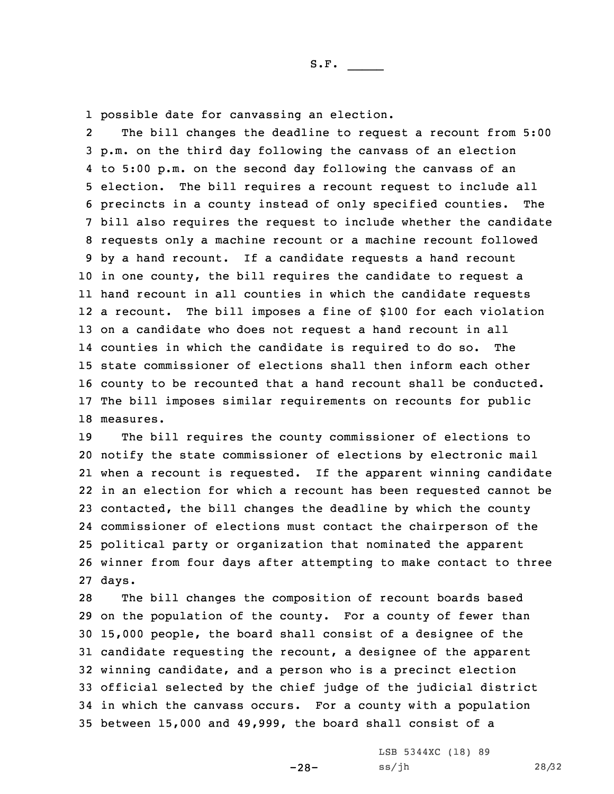1 possible date for canvassing an election.

2 The bill changes the deadline to request <sup>a</sup> recount from 5:00 p.m. on the third day following the canvass of an election to 5:00 p.m. on the second day following the canvass of an election. The bill requires <sup>a</sup> recount request to include all precincts in <sup>a</sup> county instead of only specified counties. The bill also requires the request to include whether the candidate requests only <sup>a</sup> machine recount or <sup>a</sup> machine recount followed by <sup>a</sup> hand recount. If <sup>a</sup> candidate requests <sup>a</sup> hand recount in one county, the bill requires the candidate to request <sup>a</sup> hand recount in all counties in which the candidate requests <sup>a</sup> recount. The bill imposes <sup>a</sup> fine of \$100 for each violation on <sup>a</sup> candidate who does not request <sup>a</sup> hand recount in all counties in which the candidate is required to do so. The state commissioner of elections shall then inform each other county to be recounted that <sup>a</sup> hand recount shall be conducted. The bill imposes similar requirements on recounts for public measures.

S.F.  $\rule{1em}{0.15mm}$ 

 The bill requires the county commissioner of elections to notify the state commissioner of elections by electronic mail when <sup>a</sup> recount is requested. If the apparent winning candidate in an election for which <sup>a</sup> recount has been requested cannot be contacted, the bill changes the deadline by which the county commissioner of elections must contact the chairperson of the political party or organization that nominated the apparent winner from four days after attempting to make contact to three 27 days.

 The bill changes the composition of recount boards based on the population of the county. For <sup>a</sup> county of fewer than 15,000 people, the board shall consist of <sup>a</sup> designee of the candidate requesting the recount, <sup>a</sup> designee of the apparent winning candidate, and <sup>a</sup> person who is <sup>a</sup> precinct election official selected by the chief judge of the judicial district in which the canvass occurs. For <sup>a</sup> county with <sup>a</sup> population between 15,000 and 49,999, the board shall consist of <sup>a</sup>

> LSB 5344XC (18) 89 ss/jh 28/32

-28-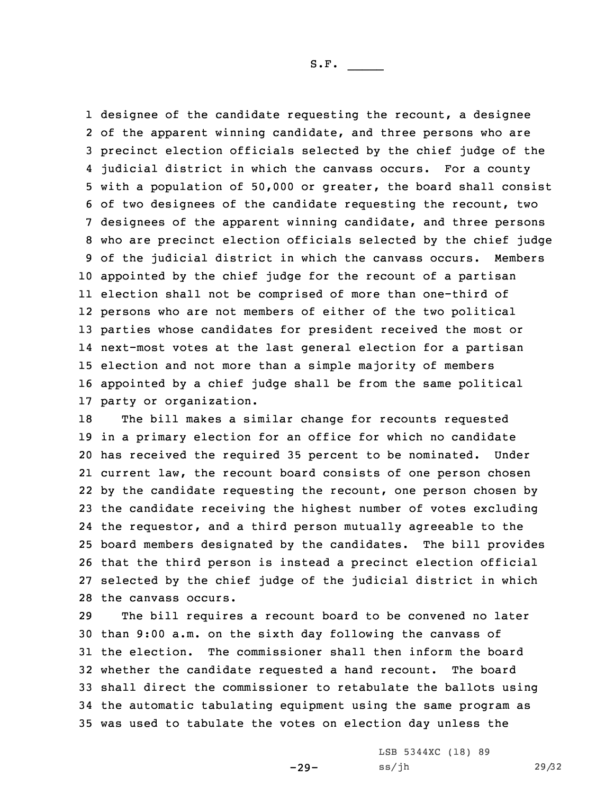1 designee of the candidate requesting the recount, a designee of the apparent winning candidate, and three persons who are precinct election officials selected by the chief judge of the judicial district in which the canvass occurs. For <sup>a</sup> county with <sup>a</sup> population of 50,000 or greater, the board shall consist of two designees of the candidate requesting the recount, two designees of the apparent winning candidate, and three persons who are precinct election officials selected by the chief judge of the judicial district in which the canvass occurs. Members appointed by the chief judge for the recount of <sup>a</sup> partisan election shall not be comprised of more than one-third of persons who are not members of either of the two political parties whose candidates for president received the most or next-most votes at the last general election for <sup>a</sup> partisan election and not more than <sup>a</sup> simple majority of members appointed by <sup>a</sup> chief judge shall be from the same political party or organization.

 The bill makes <sup>a</sup> similar change for recounts requested in <sup>a</sup> primary election for an office for which no candidate has received the required 35 percent to be nominated. Under current law, the recount board consists of one person chosen by the candidate requesting the recount, one person chosen by the candidate receiving the highest number of votes excluding the requestor, and <sup>a</sup> third person mutually agreeable to the board members designated by the candidates. The bill provides that the third person is instead <sup>a</sup> precinct election official selected by the chief judge of the judicial district in which the canvass occurs.

 The bill requires <sup>a</sup> recount board to be convened no later than 9:00 a.m. on the sixth day following the canvass of the election. The commissioner shall then inform the board whether the candidate requested <sup>a</sup> hand recount. The board shall direct the commissioner to retabulate the ballots using the automatic tabulating equipment using the same program as was used to tabulate the votes on election day unless the

-29-

LSB 5344XC (18) 89 ss/jh 29/32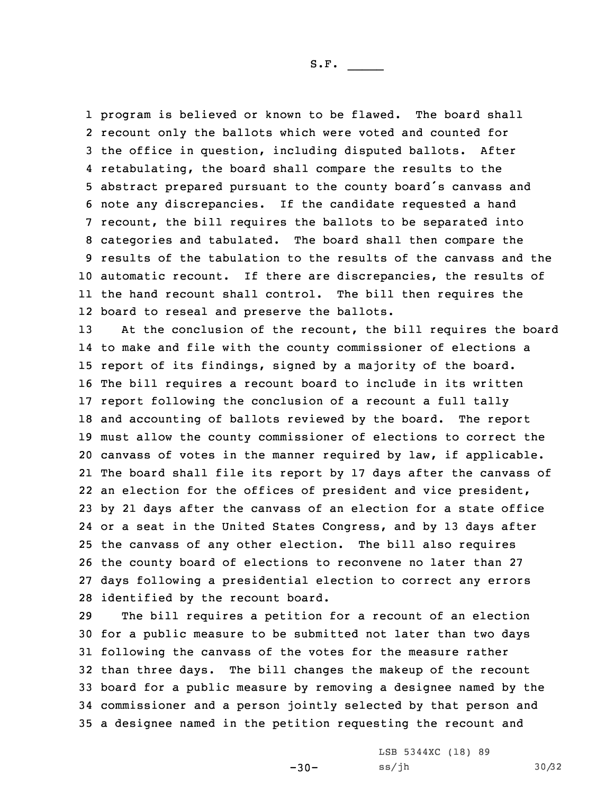program is believed or known to be flawed. The board shall recount only the ballots which were voted and counted for the office in question, including disputed ballots. After retabulating, the board shall compare the results to the abstract prepared pursuant to the county board's canvass and note any discrepancies. If the candidate requested <sup>a</sup> hand recount, the bill requires the ballots to be separated into categories and tabulated. The board shall then compare the results of the tabulation to the results of the canvass and the automatic recount. If there are discrepancies, the results of the hand recount shall control. The bill then requires the board to reseal and preserve the ballots.

 At the conclusion of the recount, the bill requires the board to make and file with the county commissioner of elections <sup>a</sup> report of its findings, signed by <sup>a</sup> majority of the board. The bill requires <sup>a</sup> recount board to include in its written report following the conclusion of <sup>a</sup> recount <sup>a</sup> full tally and accounting of ballots reviewed by the board. The report must allow the county commissioner of elections to correct the canvass of votes in the manner required by law, if applicable. The board shall file its report by 17 days after the canvass of an election for the offices of president and vice president, by 21 days after the canvass of an election for <sup>a</sup> state office or <sup>a</sup> seat in the United States Congress, and by 13 days after the canvass of any other election. The bill also requires the county board of elections to reconvene no later than 27 days following <sup>a</sup> presidential election to correct any errors identified by the recount board.

 The bill requires <sup>a</sup> petition for <sup>a</sup> recount of an election for <sup>a</sup> public measure to be submitted not later than two days following the canvass of the votes for the measure rather than three days. The bill changes the makeup of the recount board for <sup>a</sup> public measure by removing <sup>a</sup> designee named by the commissioner and <sup>a</sup> person jointly selected by that person and <sup>a</sup> designee named in the petition requesting the recount and

 $-30-$ 

LSB 5344XC (18) 89 ss/jh 30/32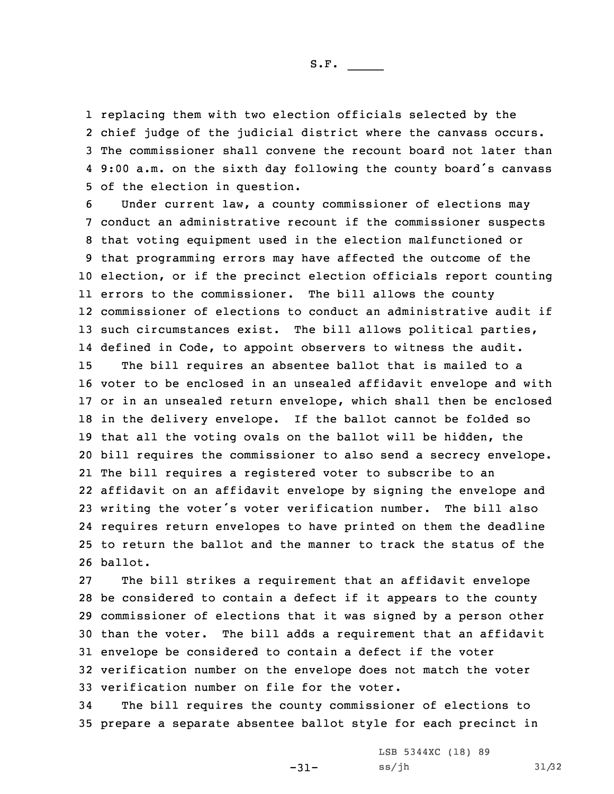S.F.  $\rule{1em}{0.15mm}$ 

 replacing them with two election officials selected by the chief judge of the judicial district where the canvass occurs. The commissioner shall convene the recount board not later than 9:00 a.m. on the sixth day following the county board's canvass of the election in question.

 Under current law, <sup>a</sup> county commissioner of elections may conduct an administrative recount if the commissioner suspects that voting equipment used in the election malfunctioned or that programming errors may have affected the outcome of the election, or if the precinct election officials report counting errors to the commissioner. The bill allows the county commissioner of elections to conduct an administrative audit if such circumstances exist. The bill allows political parties, defined in Code, to appoint observers to witness the audit. The bill requires an absentee ballot that is mailed to <sup>a</sup> voter to be enclosed in an unsealed affidavit envelope and with or in an unsealed return envelope, which shall then be enclosed in the delivery envelope. If the ballot cannot be folded so that all the voting ovals on the ballot will be hidden, the bill requires the commissioner to also send <sup>a</sup> secrecy envelope. The bill requires <sup>a</sup> registered voter to subscribe to an affidavit on an affidavit envelope by signing the envelope and writing the voter's voter verification number. The bill also requires return envelopes to have printed on them the deadline to return the ballot and the manner to track the status of the 26 ballot.

 The bill strikes <sup>a</sup> requirement that an affidavit envelope be considered to contain <sup>a</sup> defect if it appears to the county commissioner of elections that it was signed by <sup>a</sup> person other than the voter. The bill adds <sup>a</sup> requirement that an affidavit envelope be considered to contain <sup>a</sup> defect if the voter verification number on the envelope does not match the voter verification number on file for the voter.

34 The bill requires the county commissioner of elections to 35 prepare <sup>a</sup> separate absentee ballot style for each precinct in

-31-

LSB 5344XC (18) 89 ss/jh 31/32